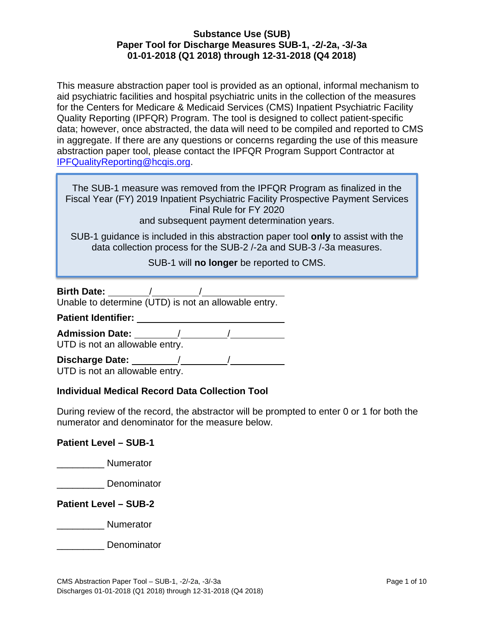This measure abstraction paper tool is provided as an optional, informal mechanism to aid psychiatric facilities and hospital psychiatric units in the collection of the measures for the Centers for Medicare & Medicaid Services (CMS) Inpatient Psychiatric Facility Quality Reporting (IPFQR) Program. The tool is designed to collect patient-specific data; however, once abstracted, the data will need to be compiled and reported to CMS in aggregate. If there are any questions or concerns regarding the use of this measure abstraction paper tool, please contact the IPFQR Program Support Contractor at [IPFQualityReporting@hcqis.org.](mailto:IPFQualityReporting@hcqis.org)

The SUB-1 measure was removed from the IPFQR Program as finalized in the Fiscal Year (FY) 2019 Inpatient Psychiatric Facility Prospective Payment Services Final Rule for FY 2020 and subsequent payment determination years.

SUB-1 guidance is included in this abstraction paper tool **only** to assist with the data collection process for the SUB-2 /-2a and SUB-3 /-3a measures.

SUB-1 will **no longer** be reported to CMS.

| <b>Birth Date:</b> |  |  |
|--------------------|--|--|
|                    |  |  |

Unable to determine (UTD) is not an allowable entry.

**Patient Identifier:** 

**Admission Date:** / /

UTD is not an allowable entry.

**Discharge Date:** / /

UTD is not an allowable entry.

# **Individual Medical Record Data Collection Tool**

During review of the record, the abstractor will be prompted to enter 0 or 1 for both the numerator and denominator for the measure below.

## **Patient Level – SUB-1**

\_\_\_\_\_\_\_\_\_ Numerator

\_\_\_\_\_\_\_\_\_ Denominator

## **Patient Level – SUB-2**

**Numerator** 

**Denominator**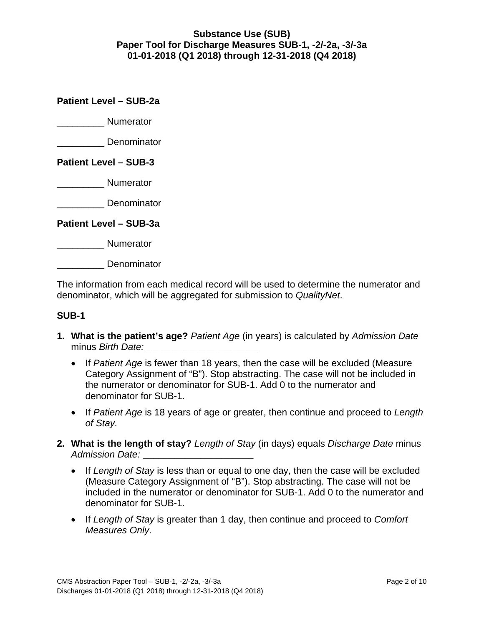## **Patient Level – SUB-2a**

\_\_\_\_\_\_\_\_\_ Numerator

\_\_\_\_\_\_\_\_\_ Denominator

## **Patient Level – SUB-3**

\_\_\_\_\_\_\_\_\_ Numerator

\_\_\_\_\_\_\_\_\_ Denominator

**Patient Level – SUB-3a**

**Numerator** 

\_\_\_\_\_\_\_\_\_ Denominator

The information from each medical record will be used to determine the numerator and denominator, which will be aggregated for submission to *QualityNet*.

#### **SUB-1**

- **1. What is the patient's age?** *Patient Age* (in years) is calculated by *Admission Date* minus *Birth Date:* **\_\_\_\_\_\_\_\_\_\_\_\_\_\_\_\_\_\_\_\_\_**
	- If *Patient Age* is fewer than 18 years, then the case will be excluded (Measure Category Assignment of "B"). Stop abstracting. The case will not be included in the numerator or denominator for SUB-1. Add 0 to the numerator and denominator for SUB-1.
	- If *Patient Age* is 18 years of age or greater, then continue and proceed to *Length of Stay.*
- **2. What is the length of stay?** *Length of Stay* (in days) equals *Discharge Date* minus *Admission Date:* **\_\_\_\_\_\_\_\_\_\_\_\_\_\_\_\_\_\_\_\_\_**
	- If *Length of Stay* is less than or equal to one day, then the case will be excluded (Measure Category Assignment of "B"). Stop abstracting. The case will not be included in the numerator or denominator for SUB-1. Add 0 to the numerator and denominator for SUB-1.
	- If *Length of Stay* is greater than 1 day, then continue and proceed to *Comfort Measures Only*.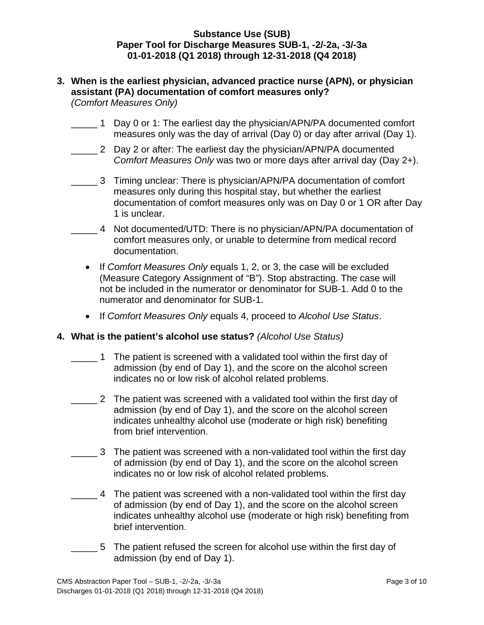- **3. When is the earliest physician, advanced practice nurse (APN), or physician assistant (PA) documentation of comfort measures only?**  *(Comfort Measures Only)*
	- 1 Day 0 or 1: The earliest day the physician/APN/PA documented comfort measures only was the day of arrival (Day 0) or day after arrival (Day 1).
	- 2 Day 2 or after: The earliest day the physician/APN/PA documented *Comfort Measures Only* was two or more days after arrival day (Day 2+).
	- 3 Timing unclear: There is physician/APN/PA documentation of comfort measures only during this hospital stay, but whether the earliest documentation of comfort measures only was on Day 0 or 1 OR after Day 1 is unclear.
	- \_\_\_\_\_ 4 Not documented/UTD: There is no physician/APN/PA documentation of comfort measures only, or unable to determine from medical record documentation.
		- If *Comfort Measures Only* equals 1, 2, or 3, the case will be excluded (Measure Category Assignment of "B"). Stop abstracting. The case will not be included in the numerator or denominator for SUB-1. Add 0 to the numerator and denominator for SUB-1.
		- If *Comfort Measures Only* equals 4, proceed to *Alcohol Use Status*.

## **4. What is the patient's alcohol use status?** *(Alcohol Use Status)*

- 1 The patient is screened with a validated tool within the first day of admission (by end of Day 1), and the score on the alcohol screen indicates no or low risk of alcohol related problems.
- 2 The patient was screened with a validated tool within the first day of admission (by end of Day 1), and the score on the alcohol screen indicates unhealthy alcohol use (moderate or high risk) benefiting from brief intervention.
	- \_\_\_\_\_ 3 The patient was screened with a non-validated tool within the first day of admission (by end of Day 1), and the score on the alcohol screen indicates no or low risk of alcohol related problems.
- \_\_\_\_\_ 4 The patient was screened with a non-validated tool within the first day of admission (by end of Day 1), and the score on the alcohol screen indicates unhealthy alcohol use (moderate or high risk) benefiting from brief intervention.
- 5 The patient refused the screen for alcohol use within the first day of admission (by end of Day 1).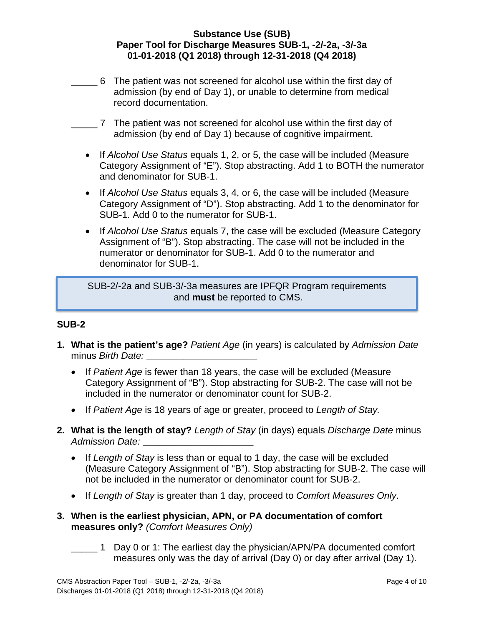- \_\_\_\_\_ 6 The patient was not screened for alcohol use within the first day of admission (by end of Day 1), or unable to determine from medical record documentation.
- \_\_\_\_\_ 7 The patient was not screened for alcohol use within the first day of admission (by end of Day 1) because of cognitive impairment.
- If *Alcohol Use Status* equals 1, 2, or 5, the case will be included (Measure Category Assignment of "E"). Stop abstracting. Add 1 to BOTH the numerator and denominator for SUB-1.
- If *Alcohol Use Status* equals 3, 4, or 6, the case will be included (Measure Category Assignment of "D"). Stop abstracting. Add 1 to the denominator for SUB-1. Add 0 to the numerator for SUB-1.
- If *Alcohol Use Status* equals 7, the case will be excluded (Measure Category Assignment of "B"). Stop abstracting. The case will not be included in the numerator or denominator for SUB-1. Add 0 to the numerator and denominator for SUB-1.

SUB-2/-2a and SUB-3/-3a measures are IPFQR Program requirements and **must** be reported to CMS.

## **SUB-2**

- **1. What is the patient's age?** *Patient Age* (in years) is calculated by *Admission Date* minus *Birth Date:* **\_\_\_\_\_\_\_\_\_\_\_\_\_\_\_\_\_\_\_\_\_**
	- If *Patient Age* is fewer than 18 years, the case will be excluded (Measure Category Assignment of "B"). Stop abstracting for SUB-2. The case will not be included in the numerator or denominator count for SUB-2.
	- If *Patient Age* is 18 years of age or greater, proceed to *Length of Stay.*
- **2. What is the length of stay?** *Length of Stay* (in days) equals *Discharge Date* minus *Admission Date:* **\_\_\_\_\_\_\_\_\_\_\_\_\_\_\_\_\_\_\_\_\_**
	- If *Length of Stay* is less than or equal to 1 day, the case will be excluded (Measure Category Assignment of "B"). Stop abstracting for SUB-2. The case will not be included in the numerator or denominator count for SUB-2.
	- If *Length of Stay* is greater than 1 day, proceed to *Comfort Measures Only*.
- **3. When is the earliest physician, APN, or PA documentation of comfort measures only?** *(Comfort Measures Only)*
	- 1 Day 0 or 1: The earliest day the physician/APN/PA documented comfort measures only was the day of arrival (Day 0) or day after arrival (Day 1).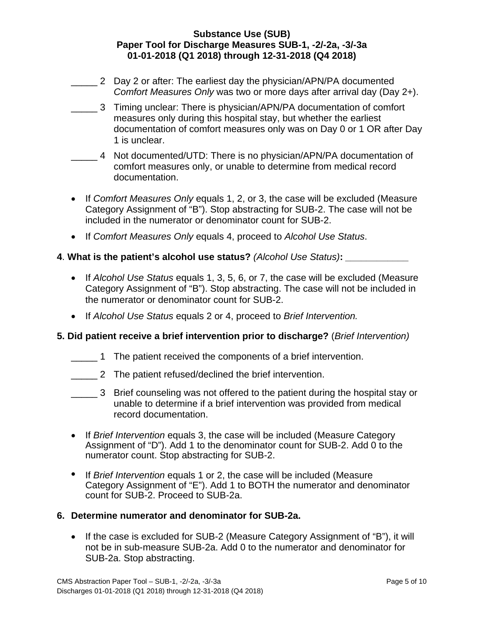- 2 Day 2 or after: The earliest day the physician/APN/PA documented *Comfort Measures Only* was two or more days after arrival day (Day 2+).
- \_\_\_\_\_ 3 Timing unclear: There is physician/APN/PA documentation of comfort measures only during this hospital stay, but whether the earliest documentation of comfort measures only was on Day 0 or 1 OR after Day 1 is unclear.
- \_\_\_\_\_ 4 Not documented/UTD: There is no physician/APN/PA documentation of comfort measures only, or unable to determine from medical record documentation.
- If *Comfort Measures Only* equals 1, 2, or 3, the case will be excluded (Measure Category Assignment of "B"). Stop abstracting for SUB-2. The case will not be included in the numerator or denominator count for SUB-2.
- If *Comfort Measures Only* equals 4, proceed to *Alcohol Use Status*.

### **4**. **What is the patient's alcohol use status?** *(Alcohol Use Status)***:** *\_\_\_\_\_\_\_\_\_\_\_\_*

- If *Alcohol Use Status* equals 1, 3, 5, 6, or 7, the case will be excluded (Measure Category Assignment of "B"). Stop abstracting. The case will not be included in the numerator or denominator count for SUB-2.
- If *Alcohol Use Status* equals 2 or 4, proceed to *Brief Intervention.*

#### **5. Did patient receive a brief intervention prior to discharge?** (*Brief Intervention)*

- 1 The patient received the components of a brief intervention.
- 2 The patient refused/declined the brief intervention.
- \_\_\_\_\_ 3 Brief counseling was not offered to the patient during the hospital stay or unable to determine if a brief intervention was provided from medical record documentation.
- If *Brief Intervention* equals 3, the case will be included (Measure Category Assignment of "D"). Add 1 to the denominator count for SUB-2. Add 0 to the numerator count. Stop abstracting for SUB-2.
- If *Brief Intervention* equals 1 or 2, the case will be included (Measure Category Assignment of "E"). Add 1 to BOTH the numerator and denominator count for SUB-2. Proceed to SUB-2a.

#### **6. Determine numerator and denominator for SUB-2a.**

• If the case is excluded for SUB-2 (Measure Category Assignment of "B"), it will not be in sub-measure SUB-2a. Add 0 to the numerator and denominator for SUB-2a. Stop abstracting.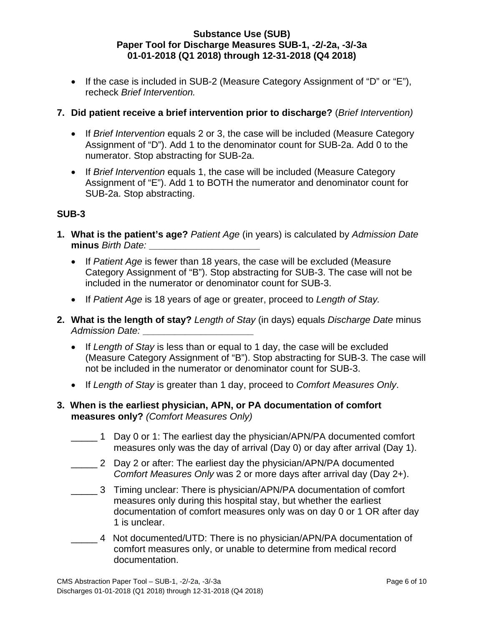• If the case is included in SUB-2 (Measure Category Assignment of "D" or "E"), recheck *Brief Intervention.* 

## **7. Did patient receive a brief intervention prior to discharge?** (*Brief Intervention)*

- If *Brief Intervention* equals 2 or 3, the case will be included (Measure Category Assignment of "D"). Add 1 to the denominator count for SUB-2a. Add 0 to the numerator. Stop abstracting for SUB-2a.
- If *Brief Intervention* equals 1, the case will be included (Measure Category Assignment of "E"). Add 1 to BOTH the numerator and denominator count for SUB-2a. Stop abstracting.

## **SUB-3**

- **1. What is the patient's age?** *Patient Age* (in years) is calculated by *Admission Date* **minus** *Birth Date:* **\_\_\_\_\_\_\_\_\_\_\_\_\_\_\_\_\_\_\_\_\_**
	- If *Patient Age* is fewer than 18 years, the case will be excluded (Measure Category Assignment of "B"). Stop abstracting for SUB-3. The case will not be included in the numerator or denominator count for SUB-3.
	- If *Patient Age* is 18 years of age or greater, proceed to *Length of Stay.*
- **2. What is the length of stay?** *Length of Stay* (in days) equals *Discharge Date* minus *Admission Date:* **\_\_\_\_\_\_\_\_\_\_\_\_\_\_\_\_\_\_\_\_\_**
	- If *Length of Stay* is less than or equal to 1 day, the case will be excluded (Measure Category Assignment of "B"). Stop abstracting for SUB-3. The case will not be included in the numerator or denominator count for SUB-3.
	- If *Length of Stay* is greater than 1 day, proceed to *Comfort Measures Only*.
- **3. When is the earliest physician, APN, or PA documentation of comfort measures only?** *(Comfort Measures Only)*
	- 1 Day 0 or 1: The earliest day the physician/APN/PA documented comfort measures only was the day of arrival (Day 0) or day after arrival (Day 1).
	- \_\_\_\_\_ 2 Day 2 or after: The earliest day the physician/APN/PA documented *Comfort Measures Only* was 2 or more days after arrival day (Day 2+).
	- \_\_\_\_\_ 3 Timing unclear: There is physician/APN/PA documentation of comfort measures only during this hospital stay, but whether the earliest documentation of comfort measures only was on day 0 or 1 OR after day 1 is unclear.
	- \_\_\_\_\_ 4 Not documented/UTD: There is no physician/APN/PA documentation of comfort measures only, or unable to determine from medical record documentation.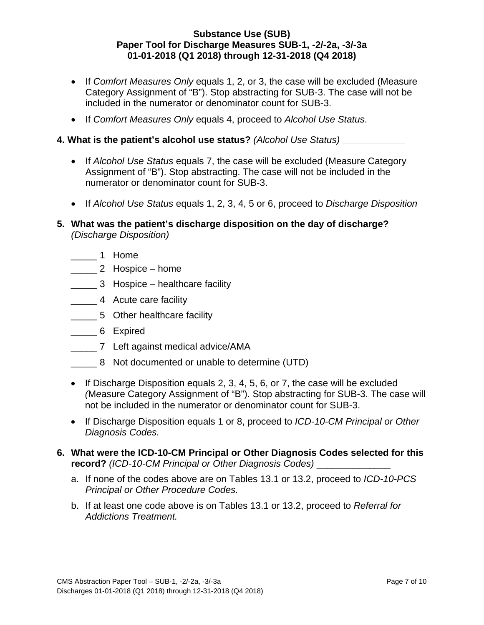- If *Comfort Measures Only* equals 1, 2, or 3, the case will be excluded (Measure Category Assignment of "B"). Stop abstracting for SUB-3. The case will not be included in the numerator or denominator count for SUB-3.
- If *Comfort Measures Only* equals 4, proceed to *Alcohol Use Status*.

### **4. What is the patient's alcohol use status?** *(Alcohol Use Status) \_\_\_\_\_\_\_\_\_\_\_\_*

- If *Alcohol Use Status* equals 7, the case will be excluded (Measure Category Assignment of "B"). Stop abstracting. The case will not be included in the numerator or denominator count for SUB-3.
- If *Alcohol Use Status* equals 1, 2, 3, 4, 5 or 6, proceed to *Discharge Disposition*
- **5. What was the patient's discharge disposition on the day of discharge?**  *(Discharge Disposition)*
	- \_\_\_\_\_ 1 Home
	- \_\_\_\_\_ 2 Hospice home
	- **\_\_\_\_\_\_ 3** Hospice healthcare facility
	- 4 Acute care facility
	- **\_\_\_\_\_\_\_\_ 5** Other healthcare facility
	- \_\_\_\_\_ 6 Expired
	- \_\_\_\_\_ 7 Left against medical advice/AMA
	- \_\_\_\_\_ 8 Not documented or unable to determine (UTD)
	- If Discharge Disposition equals 2, 3, 4, 5, 6, or 7, the case will be excluded *(*M*e*asure Category Assignment of "B"). Stop abstracting for SUB-3. The case will not be included in the numerator or denominator count for SUB-3.
	- If Discharge Disposition equals 1 or 8, proceed to *ICD-10-CM Principal or Other Diagnosis Codes.*
- **6. What were the ICD-10-CM Principal or Other Diagnosis Codes selected for this record?** *(ICD-10-CM Principal or Other Diagnosis Codes)* \_\_\_\_\_\_\_\_\_\_\_\_\_\_
	- a. If none of the codes above are on Tables 13.1 or 13.2, proceed to *ICD-10-PCS Principal or Other Procedure Codes.*
	- b. If at least one code above is on Tables 13.1 or 13.2, proceed to *Referral for Addictions Treatment.*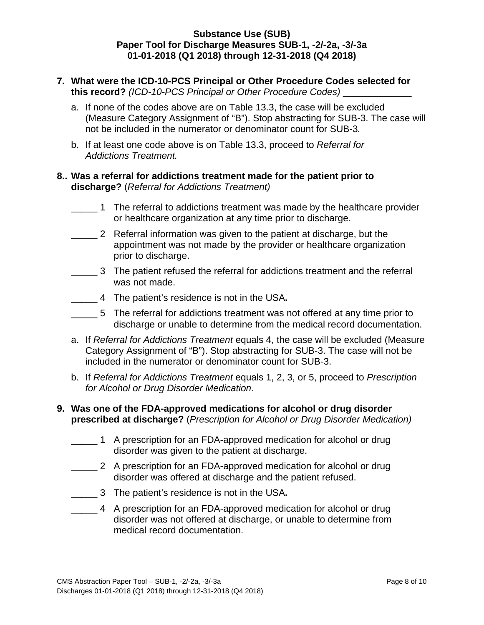- **7. What were the ICD-10-PCS Principal or Other Procedure Codes selected for this record?** *(ICD-10-PCS Principal or Other Procedure Codes)* \_\_\_\_\_\_\_\_\_\_\_\_\_
	- a. If none of the codes above are on Table 13.3, the case will be excluded (Measure Category Assignment of "B"). Stop abstracting for SUB-3. The case will not be included in the numerator or denominator count for SUB-3*.*
	- b. If at least one code above is on Table 13.3, proceed to *Referral for Addictions Treatment.*

### **8.. Was a referral for addictions treatment made for the patient prior to discharge?** (*Referral for Addictions Treatment)*

- 1 The referral to addictions treatment was made by the healthcare provider or healthcare organization at any time prior to discharge.
- **2** Referral information was given to the patient at discharge, but the appointment was not made by the provider or healthcare organization prior to discharge.
- \_\_\_\_\_ 3 The patient refused the referral for addictions treatment and the referral was not made.
- \_\_\_\_\_ 4 The patient's residence is not in the USA**.**
- 5 The referral for addictions treatment was not offered at any time prior to discharge or unable to determine from the medical record documentation.
- a. If *Referral for Addictions Treatment* equals 4, the case will be excluded (Measure Category Assignment of "B"). Stop abstracting for SUB-3. The case will not be included in the numerator or denominator count for SUB-3.
- b. If *Referral for Addictions Treatment* equals 1, 2, 3, or 5, proceed to *Prescription for Alcohol or Drug Disorder Medication*.

#### **9. Was one of the FDA-approved medications for alcohol or drug disorder prescribed at discharge?** (*Prescription for Alcohol or Drug Disorder Medication)*

- \_\_\_\_\_ 1 A prescription for an FDA-approved medication for alcohol or drug disorder was given to the patient at discharge.
- 2 A prescription for an FDA-approved medication for alcohol or drug disorder was offered at discharge and the patient refused.
- \_\_\_\_\_ 3 The patient's residence is not in the USA**.**
- \_\_\_\_\_ 4 A prescription for an FDA-approved medication for alcohol or drug disorder was not offered at discharge, or unable to determine from medical record documentation.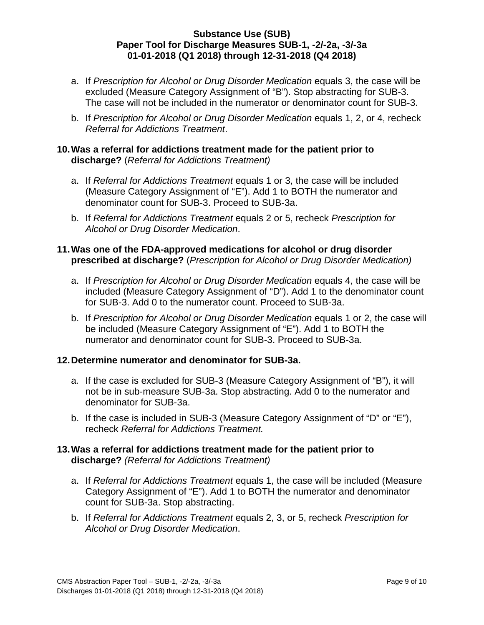- a. If *Prescription for Alcohol or Drug Disorder Medication* equals 3, the case will be excluded (Measure Category Assignment of "B"). Stop abstracting for SUB-3. The case will not be included in the numerator or denominator count for SUB-3.
- b. If *Prescription for Alcohol or Drug Disorder Medication* equals 1, 2, or 4, recheck *Referral for Addictions Treatment*.

## **10.Was a referral for addictions treatment made for the patient prior to discharge?** (*Referral for Addictions Treatment)*

- a. If *Referral for Addictions Treatment* equals 1 or 3, the case will be included (Measure Category Assignment of "E"). Add 1 to BOTH the numerator and denominator count for SUB-3. Proceed to SUB-3a.
- b. If *Referral for Addictions Treatment* equals 2 or 5, recheck *Prescription for Alcohol or Drug Disorder Medication*.

### **11. Was one of the FDA-approved medications for alcohol or drug disorder prescribed at discharge?** (*Prescription for Alcohol or Drug Disorder Medication)*

- a. If *Prescription for Alcohol or Drug Disorder Medication* equals 4, the case will be included (Measure Category Assignment of "D"). Add 1 to the denominator count for SUB-3. Add 0 to the numerator count. Proceed to SUB-3a.
- b. If *Prescription for Alcohol or Drug Disorder Medication* equals 1 or 2, the case will be included (Measure Category Assignment of "E"). Add 1 to BOTH the numerator and denominator count for SUB-3. Proceed to SUB-3a.

## **12. Determine numerator and denominator for SUB-3a.**

- a*.* If the case is excluded for SUB-3 (Measure Category Assignment of "B"), it will not be in sub-measure SUB-3a. Stop abstracting. Add 0 to the numerator and denominator for SUB-3a.
- b. If the case is included in SUB-3 (Measure Category Assignment of "D" or "E"), recheck *Referral for Addictions Treatment.*

## **13. Was a referral for addictions treatment made for the patient prior to discharge?** *(Referral for Addictions Treatment)*

- a. If *Referral for Addictions Treatment* equals 1, the case will be included (Measure Category Assignment of "E"). Add 1 to BOTH the numerator and denominator count for SUB-3a. Stop abstracting.
- b. If *Referral for Addictions Treatment* equals 2, 3, or 5, recheck *Prescription for Alcohol or Drug Disorder Medication*.